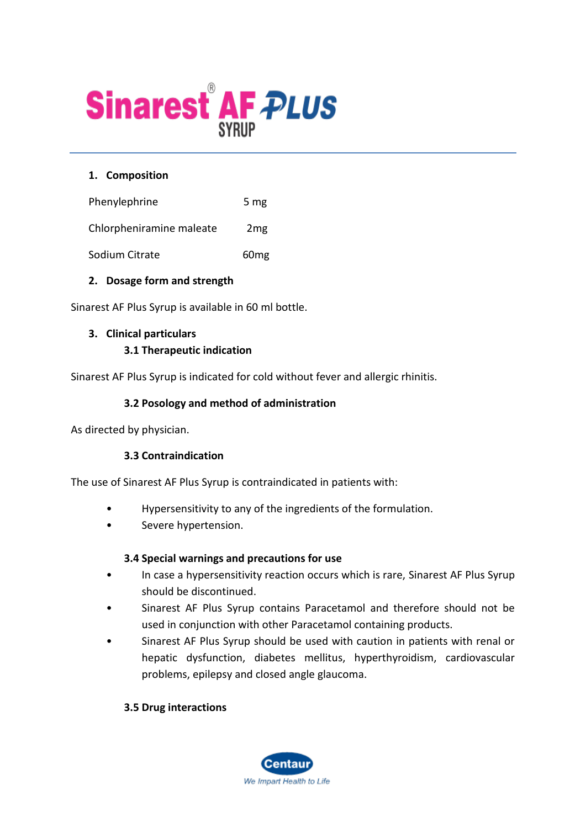

### **1. Composition**

Phenylephrine 5 mg

Chlorpheniramine maleate 2mg

Sodium Citrate 60mg

#### **2. Dosage form and strength**

Sinarest AF Plus Syrup is available in 60 ml bottle.

# **3. Clinical particulars**

#### **3.1 Therapeutic indication**

Sinarest AF Plus Syrup is indicated for cold without fever and allergic rhinitis.

#### **3.2 Posology and method of administration**

As directed by physician.

### **3.3 Contraindication**

The use of Sinarest AF Plus Syrup is contraindicated in patients with:

- Hypersensitivity to any of the ingredients of the formulation.
- Severe hypertension.

#### **3.4 Special warnings and precautions for use**

- In case a hypersensitivity reaction occurs which is rare, Sinarest AF Plus Syrup should be discontinued.
- Sinarest AF Plus Syrup contains Paracetamol and therefore should not be used in conjunction with other Paracetamol containing products.
- Sinarest AF Plus Syrup should be used with caution in patients with renal or hepatic dysfunction, diabetes mellitus, hyperthyroidism, cardiovascular problems, epilepsy and closed angle glaucoma.

### **3.5 Drug interactions**

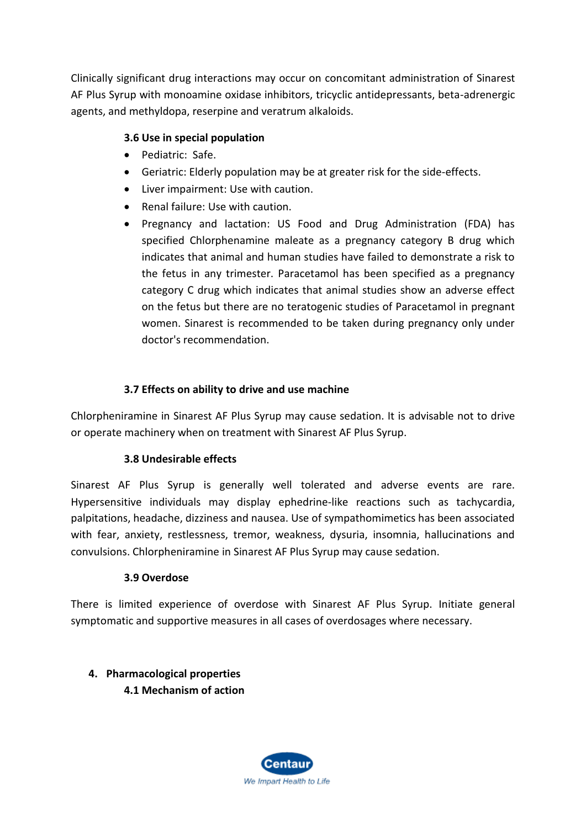Clinically significant drug interactions may occur on concomitant administration of Sinarest AF Plus Syrup with monoamine oxidase inhibitors, tricyclic antidepressants, beta-adrenergic agents, and methyldopa, reserpine and veratrum alkaloids.

## **3.6 Use in special population**

- Pediatric: Safe.
- Geriatric: Elderly population may be at greater risk for the side-effects.
- Liver impairment: Use with caution.
- Renal failure: Use with caution.
- Pregnancy and lactation: US Food and Drug Administration (FDA) has specified Chlorphenamine maleate as a pregnancy category B drug which indicates that animal and human studies have failed to demonstrate a risk to the fetus in any trimester. Paracetamol has been specified as a pregnancy category C drug which indicates that animal studies show an adverse effect on the fetus but there are no teratogenic studies of Paracetamol in pregnant women. Sinarest is recommended to be taken during pregnancy only under doctor's recommendation.

### **3.7 Effects on ability to drive and use machine**

Chlorpheniramine in Sinarest AF Plus Syrup may cause sedation. It is advisable not to drive or operate machinery when on treatment with Sinarest AF Plus Syrup.

### **3.8 Undesirable effects**

Sinarest AF Plus Syrup is generally well tolerated and adverse events are rare. Hypersensitive individuals may display ephedrine-like reactions such as tachycardia, palpitations, headache, dizziness and nausea. Use of sympathomimetics has been associated with fear, anxiety, restlessness, tremor, weakness, dysuria, insomnia, hallucinations and convulsions. Chlorpheniramine in Sinarest AF Plus Syrup may cause sedation.

#### **3.9 Overdose**

There is limited experience of overdose with Sinarest AF Plus Syrup. Initiate general symptomatic and supportive measures in all cases of overdosages where necessary.

# **4. Pharmacological properties 4.1 Mechanism of action**

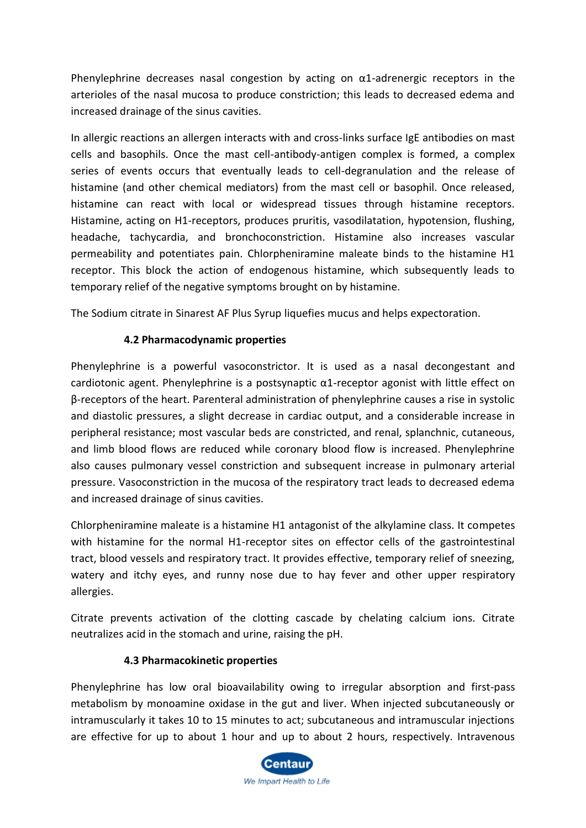Phenylephrine decreases nasal congestion by acting on  $\alpha$ 1-adrenergic receptors in the arterioles of the nasal mucosa to produce constriction; this leads to decreased edema and increased drainage of the sinus cavities.

In allergic reactions an allergen interacts with and cross-links surface IgE antibodies on mast cells and basophils. Once the mast cell-antibody-antigen complex is formed, a complex series of events occurs that eventually leads to cell-degranulation and the release of histamine (and other chemical mediators) from the mast cell or basophil. Once released, histamine can react with local or widespread tissues through histamine receptors. Histamine, acting on H1-receptors, produces pruritis, vasodilatation, hypotension, flushing, headache, tachycardia, and bronchoconstriction. Histamine also increases vascular permeability and potentiates pain. Chlorpheniramine maleate binds to the histamine H1 receptor. This block the action of endogenous histamine, which subsequently leads to temporary relief of the negative symptoms brought on by histamine.

The Sodium citrate in Sinarest AF Plus Syrup liquefies mucus and helps expectoration.

## **4.2 Pharmacodynamic properties**

Phenylephrine is a powerful vasoconstrictor. It is used as a nasal decongestant and cardiotonic agent. Phenylephrine is a postsynaptic  $\alpha$ 1-receptor agonist with little effect on β-receptors of the heart. Parenteral administration of phenylephrine causes a rise in systolic and diastolic pressures, a slight decrease in cardiac output, and a considerable increase in peripheral resistance; most vascular beds are constricted, and renal, splanchnic, cutaneous, and limb blood flows are reduced while coronary blood flow is increased. Phenylephrine also causes pulmonary vessel constriction and subsequent increase in pulmonary arterial pressure. Vasoconstriction in the mucosa of the respiratory tract leads to decreased edema and increased drainage of sinus cavities.

Chlorpheniramine maleate is a histamine H1 antagonist of the alkylamine class. It competes with histamine for the normal H1-receptor sites on effector cells of the gastrointestinal tract, blood vessels and respiratory tract. It provides effective, temporary relief of sneezing, watery and itchy eyes, and runny nose due to hay fever and other upper respiratory allergies.

Citrate prevents activation of the clotting cascade by chelating calcium ions. Citrate neutralizes acid in the stomach and urine, raising the pH.

### **4.3 Pharmacokinetic properties**

Phenylephrine has low oral bioavailability owing to irregular absorption and first-pass metabolism by monoamine oxidase in the gut and liver. When injected subcutaneously or intramuscularly it takes 10 to 15 minutes to act; subcutaneous and intramuscular injections are effective for up to about 1 hour and up to about 2 hours, respectively. Intravenous